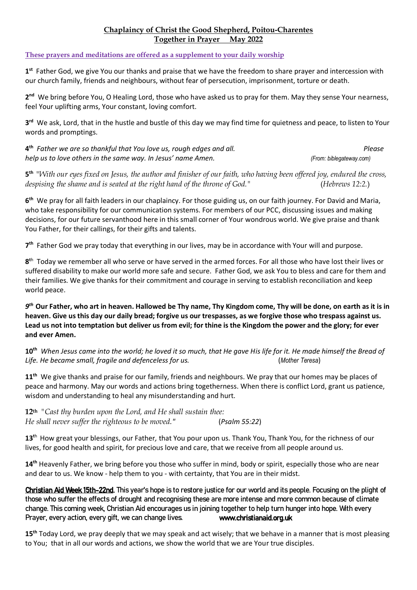## **Chaplaincy of Christ the Good Shepherd, Poitou-Charentes Together in Prayer May 2022**

## **These prayers and meditations are offered as a supplement to your daily worship**

**1 st** Father God, we give You our thanks and praise that we have the freedom to share prayer and intercession with our church family, friends and neighbours, without fear of persecution, imprisonment, torture or death.

2<sup>nd</sup> We bring before You, O Healing Lord, those who have asked us to pray for them. May they sense Your nearness, feel Your uplifting arms, Your constant, loving comfort.

**3 rd** We ask, Lord, that in the hustle and bustle of this day we may find time for quietness and peace, to listen to Your words and promptings.

**4<sup>th</sup>** Father we are so thankful that You love us, rough edges and all.  $\blacksquare$ *help us to love others in the same way. In Jesus' name Amen. (From: biblegateway.com)*

**5 th** "*With our eyes fixed on Jesus, the author and finisher of our faith, who having been offered joy, endured the cross, despising the shame and is seated at the right hand of the throne of God."* (*Hebrews 12:2.*)

**6 th** We pray for all faith leaders in our chaplaincy. For those guiding us, on our faith journey. For David and Maria, who take responsibility for our communication systems. For members of our PCC, discussing issues and making decisions, for our future servanthood here in this small corner of Your wondrous world. We give praise and thank You Father, for their callings, for their gifts and talents.

7<sup>th</sup> Father God we pray today that everything in our lives, may be in accordance with Your will and purpose.

**8 t**h Today we remember all who serve or have served in the armed forces. For all those who have lost their lives or suffered disability to make our world more safe and secure. Father God, we ask You to bless and care for them and their families. We give thanks for their commitment and courage in serving to establish reconciliation and keep world peace.

*9 th* **Our Father, who art in heaven. Hallowed be Thy name, Thy Kingdom come, Thy will be done, on earth as it is in heaven. Give us this day our daily bread; forgive us our trespasses, as we forgive those who trespass against us. Lead us not into temptation but deliver us from evil; for thine is the Kingdom the power and the glory; for ever and ever Amen.** 

**10th** *When Jesus came into the world; he loved it so much, that He gave His life for it. He made himself the Bread of Life. He became small, fragile and defenceless for us.* (*Mother Teresa*)

**11th** We give thanks and praise for our family, friends and neighbours. We pray that our homes may be places of peace and harmony. May our words and actions bring togetherness. When there is conflict Lord, grant us patience, wisdom and understanding to heal any misunderstanding and hurt.

**12th** *"Cast thy burden upon the Lord, and He shall sustain thee: He shall never suffer the righteous to be moved."* (*Psalm 55:22*)

13<sup>th</sup> How great your blessings, our Father, that You pour upon us. Thank You, Thank You, for the richness of our lives, for good health and spirit, for precious love and care, that we receive from all people around us.

**14th** Heavenly Father, we bring before you those who suffer in mind, body or spirit, especially those who are near and dear to us. We know - help them to you - with certainty, that You are in their midst.

Christian Aid Week 15th-22nd. This year's hope is to restore justice for our world and its people. Focusing on the plight of those who suffer the effects of drought and recognising these are more intense and more common because of climate change. This coming week, Christian Aid encourages us in joining together to help turn hunger into hope. With every Prayer, every action, every gift, we can change lives. **www.christianaid.org.uk** 

**15th** Today Lord, we pray deeply that we may speak and act wisely; that we behave in a manner that is most pleasing to You; that in all our words and actions, we show the world that we are Your true disciples.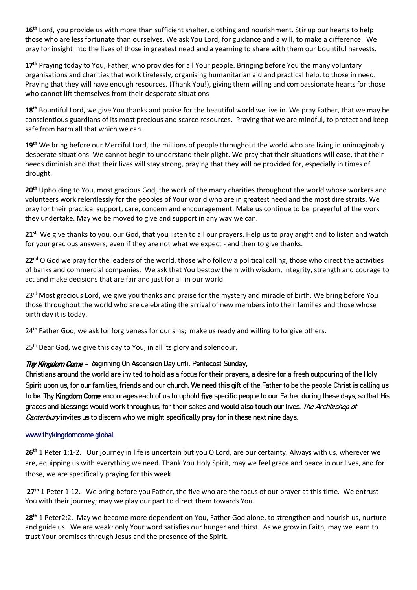**16th** Lord, you provide us with more than sufficient shelter, clothing and nourishment. Stir up our hearts to help those who are less fortunate than ourselves. We ask You Lord, for guidance and a will, to make a difference. We pray for insight into the lives of those in greatest need and a yearning to share with them our bountiful harvests.

17<sup>th</sup> Praying today to You, Father, who provides for all Your people. Bringing before You the many voluntary organisations and charities that work tirelessly, organising humanitarian aid and practical help, to those in need. Praying that they will have enough resources. (Thank You!), giving them willing and compassionate hearts for those who cannot lift themselves from their desperate situations

**18th** Bountiful Lord, we give You thanks and praise for the beautiful world we live in. We pray Father, that we may be conscientious guardians of its most precious and scarce resources. Praying that we are mindful, to protect and keep safe from harm all that which we can.

**19th** We bring before our Merciful Lord, the millions of people throughout the world who are living in unimaginably desperate situations. We cannot begin to understand their plight. We pray that their situations will ease, that their needs diminish and that their lives will stay strong, praying that they will be provided for, especially in times of drought.

**20th** Upholding to You, most gracious God, the work of the many charities throughout the world whose workers and volunteers work relentlessly for the peoples of Your world who are in greatest need and the most dire straits. We pray for their practical support, care, concern and encouragement. Make us continue to be prayerful of the work they undertake. May we be moved to give and support in any way we can.

**21st** We give thanks to you, our God, that you listen to all our prayers. Help us to pray aright and to listen and watch for your gracious answers, even if they are not what we expect - and then to give thanks.

**22nd** O God we pray for the leaders of the world, those who follow a political calling, those who direct the activities of banks and commercial companies. We ask that You bestow them with wisdom, integrity, strength and courage to act and make decisions that are fair and just for all in our world.

23<sup>rd</sup> Most gracious Lord, we give you thanks and praise for the mystery and miracle of birth. We bring before You those throughout the world who are celebrating the arrival of new members into their families and those whose birth day it is today.

24<sup>th</sup> Father God, we ask for forgiveness for our sins; make us ready and willing to forgive others.

25<sup>th</sup> Dear God, we give this day to You, in all its glory and splendour.

## Thy Kingdom Come - beginning On Ascension Day until Pentecost Sunday,

Christians around the world are invited to hold as a focus for their prayers, a desire for a fresh outpouring of the Holy Spirit upon us, for our families, friends and our church. We need this gift of the Father to be the people Christ is calling us to be. Thy Kingdom Come encourages each of us to uphold five specific people to our Father during these days; so that His graces and blessings would work through us, for their sakes and would also touch our lives. The Archbishop of Canterbury invites us to discern who we might specifically pray for in these next nine days.

## [www.thykingdomcome.global](http://www.thykingdomcome.global/)

**26th** 1 Peter 1:1-2. Our journey in life is uncertain but you O Lord, are our certainty. Always with us, wherever we are, equipping us with everything we need. Thank You Holy Spirit, may we feel grace and peace in our lives, and for those, we are specifically praying for this week.

27<sup>th</sup> 1 Peter 1:12. We bring before you Father, the five who are the focus of our prayer at this time. We entrust You with their journey; may we play our part to direct them towards You.

**28th** 1 Peter2:2. May we become more dependent on You, Father God alone, to strengthen and nourish us, nurture and guide us. We are weak: only Your word satisfies our hunger and thirst. As we grow in Faith, may we learn to trust Your promises through Jesus and the presence of the Spirit.